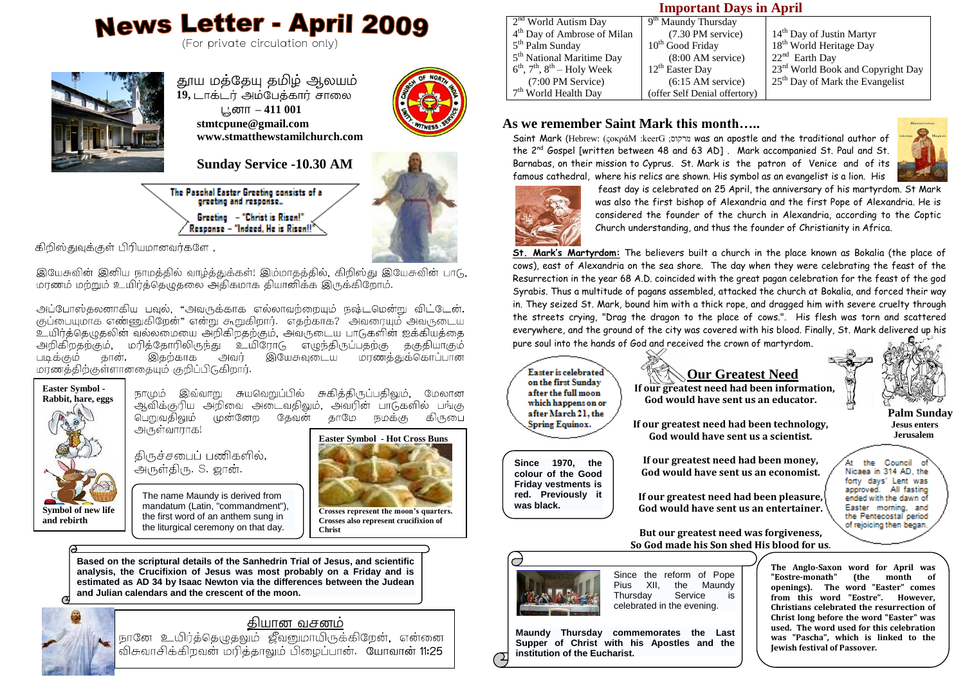# **News Letter - April 2009**

(For private circulation only)



**19,** டாக்டர் அம்பேத்கார் சாலை **– 411 001 stmtcpune@gmail.com www.stmatthewstamilchurch.com**



**Sunday Service -10.30 AM**

The Paschal Easter Greeting consists of a greeting and response... Greeting - "Christ is Risen!" Response - "Indeed, He is Risen!!"



 $\overline{a}$ ,

இயேசுவின் இனிய நாமத்தில் வாழ்த்துக்கள்! இம்மாதத்தில், கிறிஸ்து இயேசுவின் பாடு, .<br>மரணம் மற்றும் உயிர்த்தெழுதலை அதிகமாக தியானிக்க இருக்கிறோம்.

அப்போஸ்தலனாகிய பவுல், "அவருக்காக எல்லாவற்றையும் நஷ்டமென்று விட்டேன். குப்பையுமாக எண்ணுகிறேன்" என்று கூறுகிறார். எதற்காக? அவரையும் அவருடைய உயிர்த்தெழுதலின் வல்லமையை அறிகிறதற்கும், அவருடைய பாடுகளின் ஐக்கியத்தை அறிகிறதற்கும், மரித்தோரிலிருந்து உயிரோடு எழுந்திருப்பதற்கு தகுதியாகும் படிக்கும் இயேசுவடைய மாணத்துக்கொப்பான மரணத்திற்குள்ளானதையும் குறிப்பிடுகிறார்.



நாமும் இவ்வாறு சுயவெறுப்பில் சுகித்திருப்பதிலும். மேலான ஆவிக்குரிய அறிவை அடைவதிலும். அவரின் பாடுகளில் பங்கு பெறுவகிவும் முன்னேற கேவன் காமே நமக்கு கிருபை அருள்வாராக!

கிருச்சபைப் பணிகளில், .<br>அருள்திரு. S. ஜான்.



The name Maundy is derived from mandatum (Latin, "commandment"), the first word of an anthem sung in the liturgical ceremony on that day.

**Crosses represent the moon's quarters. Crosses also represent crucifixion of Christ**

**Based on the scriptural details of the Sanhedrin Trial of Jesus, and scientific analysis, the Crucifixion of Jesus was most probably on a Friday and is estimated as AD 34 by Isaac Newton via the differences between the Judean and Julian calendars and the crescent of the moon.** 





நானே உயிர்த்தெழுதலும் ஜீவனுமாயிருக்கிறேன், என்னை .<br>விசுவாசிக்கிறவன் மரித்தாலும் பிழைப்பான். யோவான் **11:25** 

#### **Important Days in April**

| $2nd$ World Autism Day                  | 9 <sup>th</sup> Maundy Thursday     |                                               |
|-----------------------------------------|-------------------------------------|-----------------------------------------------|
| 4 <sup>th</sup> Day of Ambrose of Milan | (7.30 PM service)                   | 14 <sup>th</sup> Day of Justin Martyr         |
| 5 <sup>th</sup> Palm Sunday             | 10 <sup>th</sup> Good Friday        | 18 <sup>th</sup> World Heritage Day           |
| 5 <sup>th</sup> National Maritime Day   | $(8:00 \text{ AM} \text{ service})$ | $22nd$ Earth Day                              |
| $6th$ , $7th$ , $8th$ – Holy Week       | $12th$ Easter Day                   | 23 <sup>rd</sup> World Book and Copyright Day |
| (7:00 PM Service)                       | $(6:15 \text{ AM}$ service)         | 25 <sup>th</sup> Day of Mark the Evangelist   |
| $7th$ World Health Day                  | (offer Self Denial offertory)       |                                               |
|                                         |                                     |                                               |

#### **As we remember Saint Mark this month…..**

Saint Mark (Hebrew: (ςοκράΜ :keerG ;στετίοι was an apostle and the traditional author of the 2nd Gospel [written between 48 and 63 AD] . Mark accompanied St. Paul and St. Barnabas, on their mission to Cyprus. St. Mark is the patron of Venice and of its famous cathedral, where his relics are shown. His symbol as an evangelist is a lion. His



feast day is celebrated on 25 April, the anniversary of his martyrdom. St Mark was also the first bishop of Alexandria and the first Pope of Alexandria. He is considered the founder of the church in Alexandria, according to the Coptic Church understanding, and thus the founder of Christianity in Africa.

**St. Mark's Martyrdom:** The believers built a church in the place known as Bokalia (the place of cows), east of Alexandria on the sea shore. The day when they were celebrating the feast of the Resurrection in the year 68 A.D. coincided with the great pagan celebration for the feast of the god Syrabis. Thus a multitude of pagans assembled, attacked the church at Bokalia, and forced their way in. They seized St. Mark, bound him with a thick rope, and dragged him with severe cruelty through the streets crying, "Drag the dragon to the place of cows.". His flesh was torn and scattered everywhere, and the ground of the city was covered with his blood. Finally, St. Mark delivered up his pure soul into the hands of God and received the crown of martyrdom.



**Since 1970, the colour of the Good Friday vestments is red. Previously it** 

**was black.** 

# **Our Greatest Need**

 **Palm Sunday Jesus enters Jerusalem**

 **If our greatest need had been information, God would have sent us an educator.**

**If our greatest need had been technology, God would have sent us a scientist.**

**If our greatest need had been money, God would have sent us an economist.**

**If our greatest need had been pleasure, God would have sent us an entertainer.**

the Council Nicaea in 314 AD, the forty days' Lent was approved. All fasting ended with the dawn of Easter morning, and the Pentecostal period of rejoicing then began.

**But our greatest need was forgiveness, So God made his Son shed His blood for us**.

j



Since the reform of Pope<br>Pius XII, the Maundy the Maundy<br>Service is Thursday celebrated in the evening.

**Maundy Thursday commemorates the [Last](http://en.wikipedia.org/wiki/Last_Supper)  [Supper](http://en.wikipedia.org/wiki/Last_Supper) of Christ with his [Apostles](http://en.wikipedia.org/wiki/Eleven_Apostles) and the institution of the [Eucharist.](http://en.wikipedia.org/wiki/Eucharist)**

**The Anglo-Saxon word for April was "Eostre-monath" (the month of openings). The word "Easter" comes from this word "Eostre". However, Christians celebrated the resurrection of Christ long before the word "Easter" was used. The word used for this celebration was "Pascha", which is linked to the Jewish festival of Passover.**